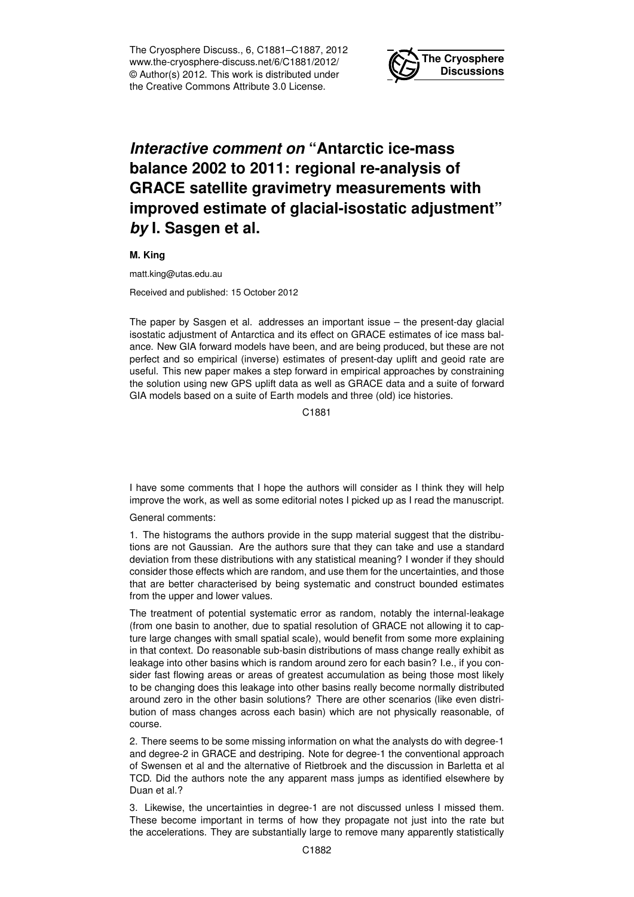The Cryosphere Discuss., 6, C1881–C1887, 2012 www.the-cryosphere-discuss.net/6/C1881/2012/ © Author(s) 2012. This work is distributed under the Creative Commons Attribute 3.0 License.



## *Interactive comment on* **"Antarctic ice-mass balance 2002 to 2011: regional re-analysis of GRACE satellite gravimetry measurements with improved estimate of glacial-isostatic adjustment"** *by* **I. Sasgen et al.**

**M. King**

matt.king@utas.edu.au

Received and published: 15 October 2012

The paper by Sasgen et al. addresses an important issue – the present-day glacial isostatic adjustment of Antarctica and its effect on GRACE estimates of ice mass balance. New GIA forward models have been, and are being produced, but these are not perfect and so empirical (inverse) estimates of present-day uplift and geoid rate are useful. This new paper makes a step forward in empirical approaches by constraining the solution using new GPS uplift data as well as GRACE data and a suite of forward GIA models based on a suite of Earth models and three (old) ice histories.

C1881

I have some comments that I hope the authors will consider as I think they will help improve the work, as well as some editorial notes I picked up as I read the manuscript.

General comments:

1. The histograms the authors provide in the supp material suggest that the distributions are not Gaussian. Are the authors sure that they can take and use a standard deviation from these distributions with any statistical meaning? I wonder if they should consider those effects which are random, and use them for the uncertainties, and those that are better characterised by being systematic and construct bounded estimates from the upper and lower values.

The treatment of potential systematic error as random, notably the internal-leakage (from one basin to another, due to spatial resolution of GRACE not allowing it to capture large changes with small spatial scale), would benefit from some more explaining in that context. Do reasonable sub-basin distributions of mass change really exhibit as leakage into other basins which is random around zero for each basin? I.e., if you consider fast flowing areas or areas of greatest accumulation as being those most likely to be changing does this leakage into other basins really become normally distributed around zero in the other basin solutions? There are other scenarios (like even distribution of mass changes across each basin) which are not physically reasonable, of course.

2. There seems to be some missing information on what the analysts do with degree-1 and degree-2 in GRACE and destriping. Note for degree-1 the conventional approach of Swensen et al and the alternative of Rietbroek and the discussion in Barletta et al TCD. Did the authors note the any apparent mass jumps as identified elsewhere by Duan et al.?

3. Likewise, the uncertainties in degree-1 are not discussed unless I missed them. These become important in terms of how they propagate not just into the rate but the accelerations. They are substantially large to remove many apparently statistically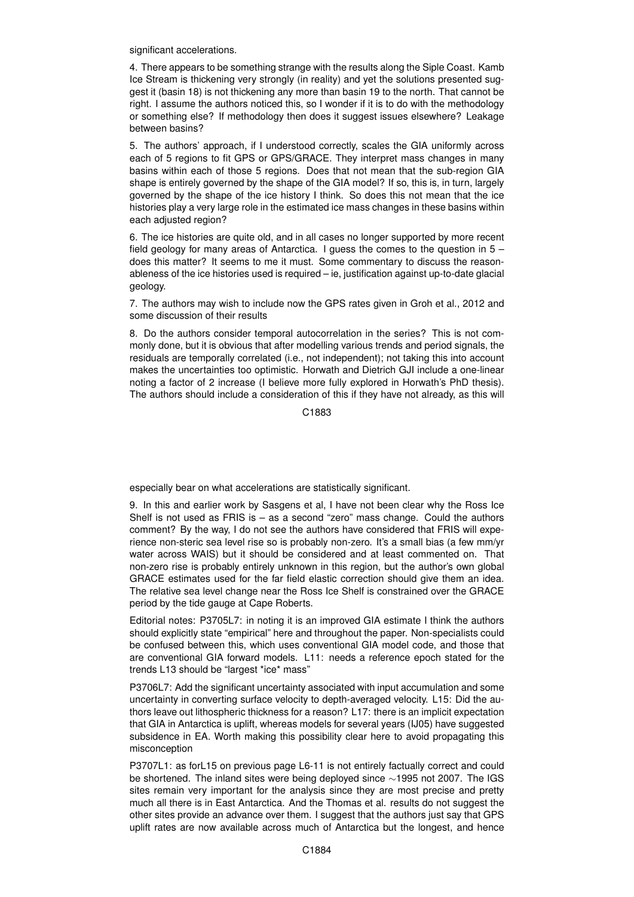significant accelerations.

4. There appears to be something strange with the results along the Siple Coast. Kamb Ice Stream is thickening very strongly (in reality) and yet the solutions presented suggest it (basin 18) is not thickening any more than basin 19 to the north. That cannot be right. I assume the authors noticed this, so I wonder if it is to do with the methodology or something else? If methodology then does it suggest issues elsewhere? Leakage between basins?

5. The authors' approach, if I understood correctly, scales the GIA uniformly across each of 5 regions to fit GPS or GPS/GRACE. They interpret mass changes in many basins within each of those 5 regions. Does that not mean that the sub-region GIA shape is entirely governed by the shape of the GIA model? If so, this is, in turn, largely governed by the shape of the ice history I think. So does this not mean that the ice histories play a very large role in the estimated ice mass changes in these basins within each adjusted region?

6. The ice histories are quite old, and in all cases no longer supported by more recent field geology for many areas of Antarctica. I guess the comes to the question in 5 – does this matter? It seems to me it must. Some commentary to discuss the reasonableness of the ice histories used is required – ie, justification against up-to-date glacial geology.

7. The authors may wish to include now the GPS rates given in Groh et al., 2012 and some discussion of their results

8. Do the authors consider temporal autocorrelation in the series? This is not commonly done, but it is obvious that after modelling various trends and period signals, the residuals are temporally correlated (i.e., not independent); not taking this into account makes the uncertainties too optimistic. Horwath and Dietrich GJI include a one-linear noting a factor of 2 increase (I believe more fully explored in Horwath's PhD thesis). The authors should include a consideration of this if they have not already, as this will

C1883

especially bear on what accelerations are statistically significant.

9. In this and earlier work by Sasgens et al, I have not been clear why the Ross Ice Shelf is not used as FRIS is – as a second "zero" mass change. Could the authors comment? By the way, I do not see the authors have considered that FRIS will experience non-steric sea level rise so is probably non-zero. It's a small bias (a few mm/yr water across WAIS) but it should be considered and at least commented on. That non-zero rise is probably entirely unknown in this region, but the author's own global GRACE estimates used for the far field elastic correction should give them an idea. The relative sea level change near the Ross Ice Shelf is constrained over the GRACE period by the tide gauge at Cape Roberts.

Editorial notes: P3705L7: in noting it is an improved GIA estimate I think the authors should explicitly state "empirical" here and throughout the paper. Non-specialists could be confused between this, which uses conventional GIA model code, and those that are conventional GIA forward models. L11: needs a reference epoch stated for the trends L13 should be "largest \*ice\* mass"

P3706L7: Add the significant uncertainty associated with input accumulation and some uncertainty in converting surface velocity to depth-averaged velocity. L15: Did the authors leave out lithospheric thickness for a reason? L17: there is an implicit expectation that GIA in Antarctica is uplift, whereas models for several years (IJ05) have suggested subsidence in EA. Worth making this possibility clear here to avoid propagating this misconception

P3707L1: as forL15 on previous page L6-11 is not entirely factually correct and could be shortened. The inland sites were being deployed since ∼1995 not 2007. The IGS sites remain very important for the analysis since they are most precise and pretty much all there is in East Antarctica. And the Thomas et al. results do not suggest the other sites provide an advance over them. I suggest that the authors just say that GPS uplift rates are now available across much of Antarctica but the longest, and hence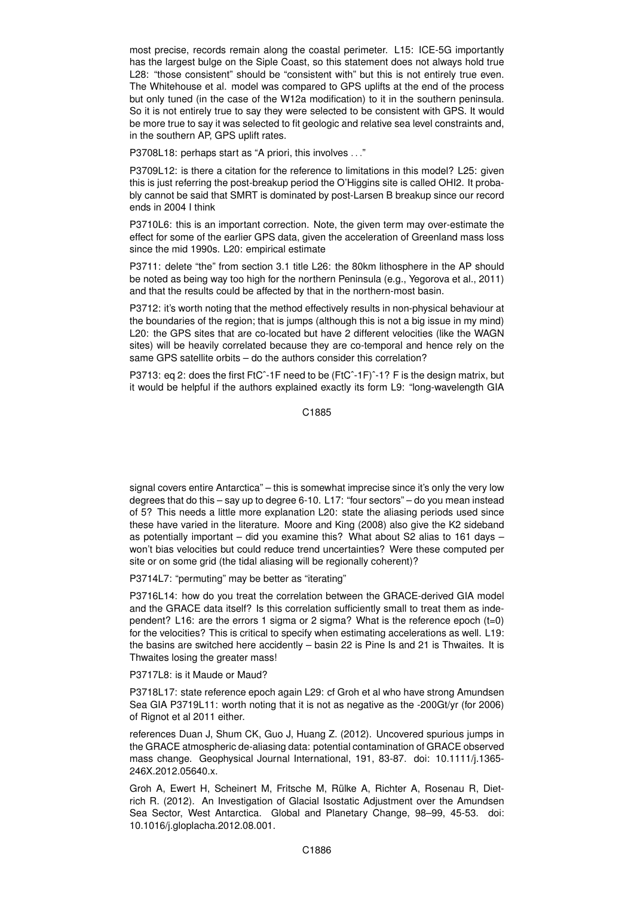most precise, records remain along the coastal perimeter. L15: ICE-5G importantly has the largest bulge on the Siple Coast, so this statement does not always hold true L28: "those consistent" should be "consistent with" but this is not entirely true even. The Whitehouse et al. model was compared to GPS uplifts at the end of the process but only tuned (in the case of the W12a modification) to it in the southern peninsula. So it is not entirely true to say they were selected to be consistent with GPS. It would be more true to say it was selected to fit geologic and relative sea level constraints and, in the southern AP, GPS uplift rates.

P3708L18: perhaps start as "A priori, this involves . . ."

P3709L12: is there a citation for the reference to limitations in this model? L25: given this is just referring the post-breakup period the O'Higgins site is called OHI2. It probably cannot be said that SMRT is dominated by post-Larsen B breakup since our record ends in 2004 I think

P3710L6: this is an important correction. Note, the given term may over-estimate the effect for some of the earlier GPS data, given the acceleration of Greenland mass loss since the mid 1990s. L20: empirical estimate

P3711: delete "the" from section 3.1 title L26: the 80km lithosphere in the AP should be noted as being way too high for the northern Peninsula (e.g., Yegorova et al., 2011) and that the results could be affected by that in the northern-most basin.

P3712: it's worth noting that the method effectively results in non-physical behaviour at the boundaries of the region; that is jumps (although this is not a big issue in my mind) L20: the GPS sites that are co-located but have 2 different velocities (like the WAGN sites) will be heavily correlated because they are co-temporal and hence rely on the same GPS satellite orbits – do the authors consider this correlation?

P3713: eq 2: does the first FtC<sup> $\hat{}$ </sup>-1F need to be (FtC $\hat{}$ -1F) $\hat{}$ -1? F is the design matrix, but it would be helpful if the authors explained exactly its form L9: "long-wavelength GIA

C1885

signal covers entire Antarctica" – this is somewhat imprecise since it's only the very low degrees that do this – say up to degree 6-10. L17: "four sectors" – do you mean instead of 5? This needs a little more explanation L20: state the aliasing periods used since these have varied in the literature. Moore and King (2008) also give the K2 sideband as potentially important – did you examine this? What about S2 alias to 161 days – won't bias velocities but could reduce trend uncertainties? Were these computed per site or on some grid (the tidal aliasing will be regionally coherent)?

P3714L7: "permuting" may be better as "iterating"

P3716L14: how do you treat the correlation between the GRACE-derived GIA model and the GRACE data itself? Is this correlation sufficiently small to treat them as independent? L16: are the errors 1 sigma or 2 sigma? What is the reference epoch (t=0) for the velocities? This is critical to specify when estimating accelerations as well. L19: the basins are switched here accidently – basin 22 is Pine Is and 21 is Thwaites. It is Thwaites losing the greater mass!

P3717L8: is it Maude or Maud?

P3718L17: state reference epoch again L29: cf Groh et al who have strong Amundsen Sea GIA P3719L11: worth noting that it is not as negative as the -200Gt/yr (for 2006) of Rignot et al 2011 either.

references Duan J, Shum CK, Guo J, Huang Z. (2012). Uncovered spurious jumps in the GRACE atmospheric de-aliasing data: potential contamination of GRACE observed mass change. Geophysical Journal International, 191, 83-87. doi: 10.1111/j.1365- 246X.2012.05640.x.

Groh A, Ewert H, Scheinert M, Fritsche M, Rülke A, Richter A, Rosenau R, Dietrich R. (2012). An Investigation of Glacial Isostatic Adjustment over the Amundsen Sea Sector, West Antarctica. Global and Planetary Change, 98–99, 45-53. doi: 10.1016/j.gloplacha.2012.08.001.